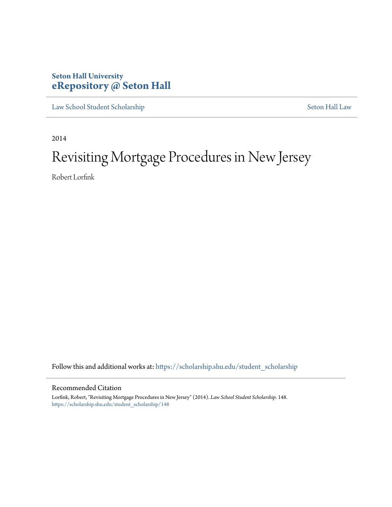## **Seton Hall University [eRepository @ Seton Hall](https://scholarship.shu.edu?utm_source=scholarship.shu.edu%2Fstudent_scholarship%2F148&utm_medium=PDF&utm_campaign=PDFCoverPages)**

[Law School Student Scholarship](https://scholarship.shu.edu/student_scholarship?utm_source=scholarship.shu.edu%2Fstudent_scholarship%2F148&utm_medium=PDF&utm_campaign=PDFCoverPages) [Seton Hall Law](https://scholarship.shu.edu/law?utm_source=scholarship.shu.edu%2Fstudent_scholarship%2F148&utm_medium=PDF&utm_campaign=PDFCoverPages)

2014

# Revisiting Mortgage Procedures in New Jersey

Robert Lorfink

Follow this and additional works at: [https://scholarship.shu.edu/student\\_scholarship](https://scholarship.shu.edu/student_scholarship?utm_source=scholarship.shu.edu%2Fstudent_scholarship%2F148&utm_medium=PDF&utm_campaign=PDFCoverPages)

#### Recommended Citation

Lorfink, Robert, "Revisiting Mortgage Procedures in New Jersey" (2014). *Law School Student Scholarship*. 148. [https://scholarship.shu.edu/student\\_scholarship/148](https://scholarship.shu.edu/student_scholarship/148?utm_source=scholarship.shu.edu%2Fstudent_scholarship%2F148&utm_medium=PDF&utm_campaign=PDFCoverPages)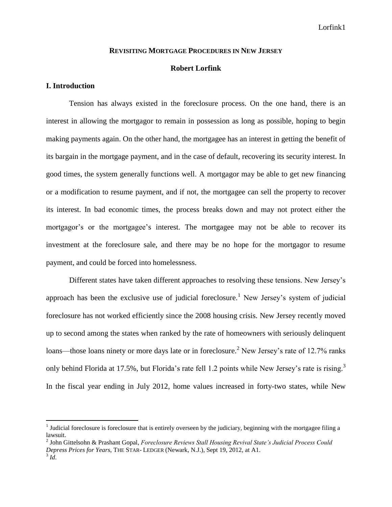#### **REVISITING MORTGAGE PROCEDURES IN NEW JERSEY**

#### **Robert Lorfink**

#### **I. Introduction**

 $\overline{a}$ 

Tension has always existed in the foreclosure process. On the one hand, there is an interest in allowing the mortgagor to remain in possession as long as possible, hoping to begin making payments again. On the other hand, the mortgagee has an interest in getting the benefit of its bargain in the mortgage payment, and in the case of default, recovering its security interest. In good times, the system generally functions well. A mortgagor may be able to get new financing or a modification to resume payment, and if not, the mortgagee can sell the property to recover its interest. In bad economic times, the process breaks down and may not protect either the mortgagor's or the mortgagee's interest. The mortgagee may not be able to recover its investment at the foreclosure sale, and there may be no hope for the mortgagor to resume payment, and could be forced into homelessness.

Different states have taken different approaches to resolving these tensions. New Jersey's approach has been the exclusive use of judicial foreclosure.<sup>1</sup> New Jersey's system of judicial foreclosure has not worked efficiently since the 2008 housing crisis. New Jersey recently moved up to second among the states when ranked by the rate of homeowners with seriously delinquent loans—those loans ninety or more days late or in foreclosure.<sup>2</sup> New Jersey's rate of 12.7% ranks only behind Florida at 17.5%, but Florida's rate fell 1.2 points while New Jersey's rate is rising.<sup>3</sup> In the fiscal year ending in July 2012, home values increased in forty-two states, while New

<sup>&</sup>lt;sup>1</sup> Judicial foreclosure is foreclosure that is entirely overseen by the judiciary, beginning with the mortgagee filing a lawsuit.

<sup>2</sup> John Gittelsohn & Prashant Gopal, *Foreclosure Reviews Stall Housing Revival State's Judicial Process Could Depress Prices for Years*, THE STAR- LEDGER (Newark, N.J.), Sept 19, 2012, at A1. 3 *Id*.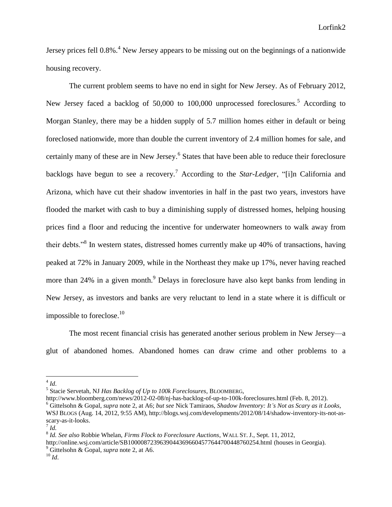Jersey prices fell  $0.8\%$ <sup>4</sup>. New Jersey appears to be missing out on the beginnings of a nationwide housing recovery.

The current problem seems to have no end in sight for New Jersey. As of February 2012, New Jersey faced a backlog of 50,000 to 100,000 unprocessed foreclosures.<sup>5</sup> According to Morgan Stanley, there may be a hidden supply of 5.7 million homes either in default or being foreclosed nationwide, more than double the current inventory of 2.4 million homes for sale, and certainly many of these are in New Jersey. 6 States that have been able to reduce their foreclosure backlogs have begun to see a recovery.<sup>7</sup> According to the *Star-Ledger*, "[i]n California and Arizona, which have cut their shadow inventories in half in the past two years, investors have flooded the market with cash to buy a diminishing supply of distressed homes, helping housing prices find a floor and reducing the incentive for underwater homeowners to walk away from their debts."<sup>8</sup> In western states, distressed homes currently make up 40% of transactions, having peaked at 72% in January 2009, while in the Northeast they make up 17%, never having reached more than 24% in a given month.<sup>9</sup> Delays in foreclosure have also kept banks from lending in New Jersey, as investors and banks are very reluctant to lend in a state where it is difficult or impossible to foreclose. $10$ 

The most recent financial crisis has generated another serious problem in New Jersey—a glut of abandoned homes. Abandoned homes can draw crime and other problems to a

http://www.bloomberg.com/news/2012-02-08/nj-has-backlog-of-up-to-100k-foreclosures.html (Feb. 8, 2012).

 $\frac{4}{4}$ *Id.* 

<sup>5</sup> Stacie Servetah, NJ *Has Backlog of Up to 100k Foreclosures*, BLOOMBERG,

<sup>6</sup> Gittelsohn & Gopal, *supra* note 2, at A6; *but see* Nick Tamiraos, *Shadow Inventory: It's Not as Scary as it Looks*, WSJ BLOGS (Aug. 14, 2012, 9:55 AM), http://blogs.wsj.com/developments/2012/08/14/shadow-inventory-its-not-asscary-as-it-looks.

<sup>7</sup> *Id.*

<sup>8</sup> *Id. See also* Robbie Whelan, *Firms Flock to Foreclosure Auctions*, WALL ST. J., Sept. 11, 2012,

http://online.wsj.com/article/SB10000872396390443696604577644700448760254.html (houses in Georgia).

<sup>9</sup> Gittelsohn & Gopal, *supra* note 2, at A6.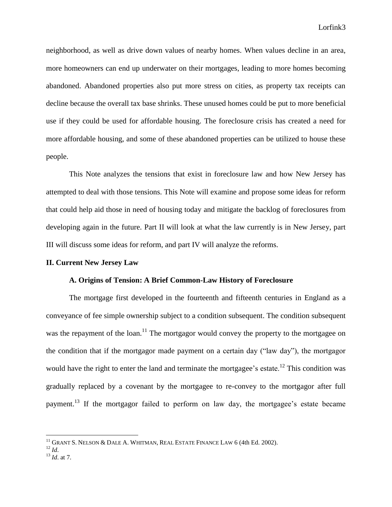neighborhood, as well as drive down values of nearby homes. When values decline in an area, more homeowners can end up underwater on their mortgages, leading to more homes becoming abandoned. Abandoned properties also put more stress on cities, as property tax receipts can decline because the overall tax base shrinks. These unused homes could be put to more beneficial use if they could be used for affordable housing. The foreclosure crisis has created a need for more affordable housing, and some of these abandoned properties can be utilized to house these people.

This Note analyzes the tensions that exist in foreclosure law and how New Jersey has attempted to deal with those tensions. This Note will examine and propose some ideas for reform that could help aid those in need of housing today and mitigate the backlog of foreclosures from developing again in the future. Part II will look at what the law currently is in New Jersey, part III will discuss some ideas for reform, and part IV will analyze the reforms.

#### **II. Current New Jersey Law**

#### **A. Origins of Tension: A Brief Common-Law History of Foreclosure**

The mortgage first developed in the fourteenth and fifteenth centuries in England as a conveyance of fee simple ownership subject to a condition subsequent. The condition subsequent was the repayment of the loan.<sup>11</sup> The mortgagor would convey the property to the mortgagee on the condition that if the mortgagor made payment on a certain day ("law day"), the mortgagor would have the right to enter the land and terminate the mortgagee's estate.<sup>12</sup> This condition was gradually replaced by a covenant by the mortgagee to re-convey to the mortgagor after full payment.<sup>13</sup> If the mortgagor failed to perform on law day, the mortgagee's estate became

 $^{11}$  Grant S. Nelson & Dale A. Whitman, Real Estate Finance Law 6 (4th Ed. 2002).

<sup>12</sup> *Id*.

<sup>13</sup> *Id*. at 7.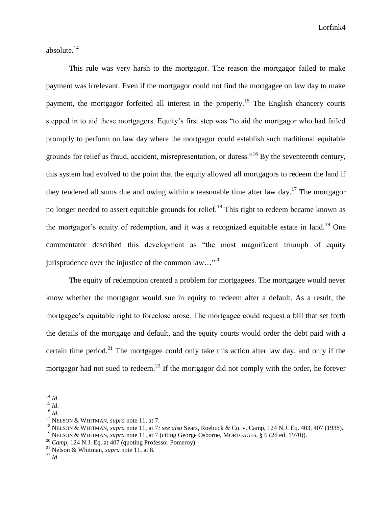absolute.<sup>14</sup>

This rule was very harsh to the mortgagor. The reason the mortgagor failed to make payment was irrelevant. Even if the mortgagor could not find the mortgagee on law day to make payment, the mortgagor forfeited all interest in the property.<sup>15</sup> The English chancery courts stepped in to aid these mortgagors. Equity's first step was "to aid the mortgagor who had failed promptly to perform on law day where the mortgagor could establish such traditional equitable grounds for relief as fraud, accident, misrepresentation, or duress."<sup>16</sup> By the seventeenth century, this system had evolved to the point that the equity allowed all mortgagors to redeem the land if they tendered all sums due and owing within a reasonable time after law day.<sup>17</sup> The mortgagor no longer needed to assert equitable grounds for relief.<sup>18</sup> This right to redeem became known as the mortgagor's equity of redemption, and it was a recognized equitable estate in land.<sup>19</sup> One commentator described this development as "the most magnificent triumph of equity jurisprudence over the injustice of the common  $law...$ <sup>20</sup>

The equity of redemption created a problem for mortgagees. The mortgagee would never know whether the mortgagor would sue in equity to redeem after a default. As a result, the mortgagee's equitable right to foreclose arose. The mortgagee could request a bill that set forth the details of the mortgage and default, and the equity courts would order the debt paid with a certain time period.<sup>21</sup> The mortgagee could only take this action after law day, and only if the mortgagor had not sued to redeem.<sup>22</sup> If the mortgagor did not comply with the order, he forever

<sup>14</sup> *Id*.

<sup>15</sup> *Id*.

 $16$  *Id.* 

<sup>17</sup> NELSON & WHITMAN, *supra* note 11, at 7*.*

<sup>18</sup> NELSON & WHITMAN, *supra* note 11, at 7*; see also* Sears, Roebuck & Co. v. Camp, 124 N.J. Eq. 403, 407 (1938).

<sup>19</sup> NELSON & WHITMAN, *supra* note 11, at 7 (citing George Osborne, MORTGAGES, § 6 (2d ed. 1970)).

<sup>&</sup>lt;sup>20</sup> *Camp*, 124 N.J. Eq. at 407 (quoting Professor Pomeroy).

<sup>21</sup> Nelson & Whitman, *supra* note 11, at 8.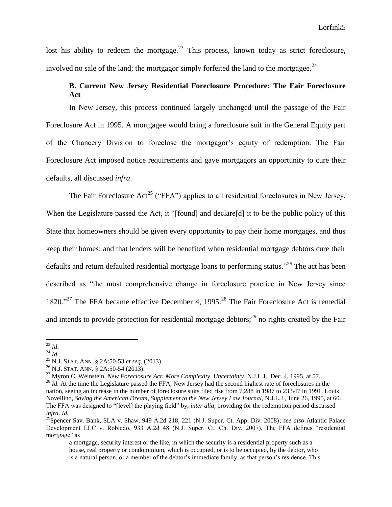lost his ability to redeem the mortgage. $23$  This process, known today as strict foreclosure, involved no sale of the land; the mortgagor simply forfeited the land to the mortgage.<sup>24</sup>

### **B. Current New Jersey Residential Foreclosure Procedure: The Fair Foreclosure Act**

In New Jersey, this process continued largely unchanged until the passage of the Fair Foreclosure Act in 1995. A mortgagee would bring a foreclosure suit in the General Equity part of the Chancery Division to foreclose the mortgagor's equity of redemption. The Fair Foreclosure Act imposed notice requirements and gave mortgagors an opportunity to cure their defaults, all discussed *infra*.

The Fair Foreclosure Act<sup>25</sup> ("FFA") applies to all residential foreclosures in New Jersey. When the Legislature passed the Act, it "[found] and declare[d] it to be the public policy of this State that homeowners should be given every opportunity to pay their home mortgages, and thus keep their homes; and that lenders will be benefited when residential mortgage debtors cure their defaults and return defaulted residential mortgage loans to performing status.<sup>226</sup> The act has been described as "the most comprehensive change in foreclosure practice in New Jersey since 1820."<sup>27</sup> The FFA became effective December 4, 1995.<sup>28</sup> The Fair Foreclosure Act is remedial and intends to provide protection for residential mortgage debtors; $^{29}$  no rights created by the Fair

<sup>23</sup> *Id*.

<sup>24</sup> *Id*.

<sup>25</sup> N.J. STAT. ANN. § 2A:50-53 *et seq*. (2013).

 $^{26}$  N.J. STAT. ANN. § 2A:50-54 (2013).

<sup>27</sup> Myron C. Weinstein, *New Foreclosure Act: More Complexity, Uncertainty*, N.J.L.J., Dec. 4, 1995, at 57.

<sup>&</sup>lt;sup>28</sup> *Id*. At the time the Legislature passed the FFA, New Jersey had the second highest rate of foreclosures in the nation, seeing an increase in the number of foreclosure suits filed rise from 7,288 in 1987 to 23,547 in 1991. Louis Novellino, *Saving the American Dream, Supplement to the New Jersey Law Journal*, N.J.L.J., June 26, 1995, at 60. The FFA was designed to "[level] the playing field" by, *inter alia*, providing for the redemption period discussed *infra*. *Id.*

<sup>29</sup>Spencer Sav. Bank, SLA v. Shaw, 949 A.2d 218, 221 (N.J. Super. Ct. App. Div. 2008); *see also* Atlantic Palace Development LLC v. Robledo, 933 A.2d 48 (N.J. Super. Ct. Ch. Div. 2007). The FFA defines "residential mortgage" as

a mortgage, security interest or the like, in which the security is a residential property such as a house, real property or condominium, which is occupied, or is to be occupied, by the debtor, who is a natural person, or a member of the debtor's immediate family, as that person's residence. This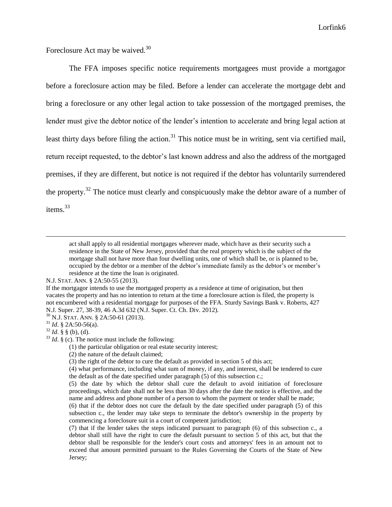Foreclosure Act may be waived.<sup>30</sup>

The FFA imposes specific notice requirements mortgagees must provide a mortgagor before a foreclosure action may be filed. Before a lender can accelerate the mortgage debt and bring a foreclosure or any other legal action to take possession of the mortgaged premises, the lender must give the debtor notice of the lender's intention to accelerate and bring legal action at least thirty days before filing the action.<sup>31</sup> This notice must be in writing, sent via certified mail, return receipt requested, to the debtor's last known address and also the address of the mortgaged premises, if they are different, but notice is not required if the debtor has voluntarily surrendered the property.<sup>32</sup> The notice must clearly and conspicuously make the debtor aware of a number of items.<sup>33</sup>

act shall apply to all residential mortgages wherever made, which have as their security such a residence in the State of New Jersey, provided that the real property which is the subject of the mortgage shall not have more than four dwelling units, one of which shall be, or is planned to be, occupied by the debtor or a member of the debtor's immediate family as the debtor's or member's residence at the time the loan is originated.

N.J. STAT. ANN. § 2A:50-55 (2013).

If the mortgagor intends to use the mortgaged property as a residence at time of origination, but then vacates the property and has no intention to return at the time a foreclosure action is filed, the property is not encumbered with a residential mortgage for purposes of the FFA. Sturdy Savings Bank v. Roberts, 427 N.J. Super. 27, 38-39, 46 A.3d 632 (N.J. Super. Ct. Ch. Div. 2012).

<sup>30</sup> N.J. STAT. ANN. § 2A:50-61 (2013).

<sup>31</sup> *Id*. § 2A:50-56(a).

 $32$  *Id.* § § (b), (d).

 $33$  *Id.* § (c). The notice must include the following:

<sup>(1)</sup> the particular obligation or real estate security interest;

<sup>(2)</sup> the nature of the default claimed;

<sup>(3)</sup> the right of the debtor to cure the default as provided in section 5 of this act;

<sup>(4)</sup> what performance, including what sum of money, if any, and interest, shall be tendered to cure the default as of the date specified under paragraph (5) of this subsection c.;

<sup>(5)</sup> the date by which the debtor shall cure the default to avoid initiation of foreclosure proceedings, which date shall not be less than 30 days after the date the notice is effective, and the name and address and phone number of a person to whom the payment or tender shall be made;

<sup>(6)</sup> that if the debtor does not cure the default by the date specified under paragraph (5) of this subsection c., the lender may take steps to terminate the debtor's ownership in the property by commencing a foreclosure suit in a court of competent jurisdiction;

<sup>(7)</sup> that if the lender takes the steps indicated pursuant to paragraph (6) of this subsection c., a debtor shall still have the right to cure the default pursuant to section 5 of this act, but that the debtor shall be responsible for the lender's court costs and attorneys' fees in an amount not to exceed that amount permitted pursuant to the Rules Governing the Courts of the State of New Jersey;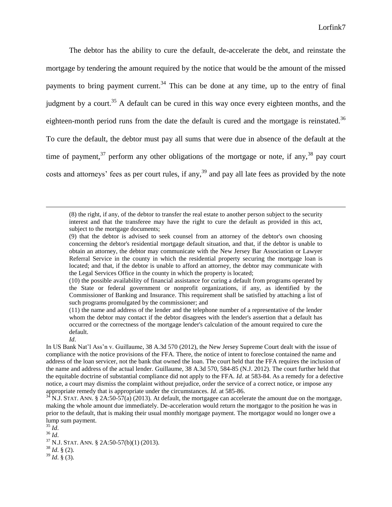The debtor has the ability to cure the default, de-accelerate the debt, and reinstate the mortgage by tendering the amount required by the notice that would be the amount of the missed payments to bring payment current.<sup>34</sup> This can be done at any time, up to the entry of final judgment by a court.<sup>35</sup> A default can be cured in this way once every eighteen months, and the eighteen-month period runs from the date the default is cured and the mortgage is reinstated.<sup>36</sup> To cure the default, the debtor must pay all sums that were due in absence of the default at the time of payment,<sup>37</sup> perform any other obligations of the mortgage or note, if any,  $38$  pay court costs and attorneys' fees as per court rules, if any,<sup>39</sup> and pay all late fees as provided by the note

(8) the right, if any, of the debtor to transfer the real estate to another person subject to the security interest and that the transferee may have the right to cure the default as provided in this act, subject to the mortgage documents;

<sup>(9)</sup> that the debtor is advised to seek counsel from an attorney of the debtor's own choosing concerning the debtor's residential mortgage default situation, and that, if the debtor is unable to obtain an attorney, the debtor may communicate with the New Jersey Bar Association or Lawyer Referral Service in the county in which the residential property securing the mortgage loan is located; and that, if the debtor is unable to afford an attorney, the debtor may communicate with the Legal Services Office in the county in which the property is located;

<sup>(10)</sup> the possible availability of financial assistance for curing a default from programs operated by the State or federal government or nonprofit organizations, if any, as identified by the Commissioner of Banking and Insurance. This requirement shall be satisfied by attaching a list of such programs promulgated by the commissioner; and

<sup>(11)</sup> the name and address of the lender and the telephone number of a representative of the lender whom the debtor may contact if the debtor disagrees with the lender's assertion that a default has occurred or the correctness of the mortgage lender's calculation of the amount required to cure the default.

*Id*.

In US Bank Nat'l Ass'n v. Guillaume, 38 A.3d 570 (2012), the New Jersey Supreme Court dealt with the issue of compliance with the notice provisions of the FFA. There, the notice of intent to foreclose contained the name and address of the loan servicer, not the bank that owned the loan. The court held that the FFA requires the inclusion of the name and address of the actual lender. Guillaume, 38 A.3d 570, 584-85 (N.J. 2012). The court further held that the equitable doctrine of substantial compliance did not apply to the FFA. *Id*. at 583-84. As a remedy for a defective notice, a court may dismiss the complaint without prejudice, order the service of a correct notice, or impose any appropriate remedy that is appropriate under the circumstances. *Id*. at 585-86.

 $\overline{N}$ .J. STAT. ANN. § 2A:50-57(a) (2013). At default, the mortgagee can accelerate the amount due on the mortgage, making the whole amount due immediately. De-acceleration would return the mortgagor to the position he was in prior to the default, that is making their usual monthly mortgage payment. The mortgagor would no longer owe a lump sum payment.

 $^{35}$  *Id*.

<sup>36</sup> *Id*.

<sup>37</sup> N.J. STAT. ANN. § 2A:50-57(b)(1) (2013).

<sup>38</sup> *Id*. § (2).

 $39$  *Id.* § (3).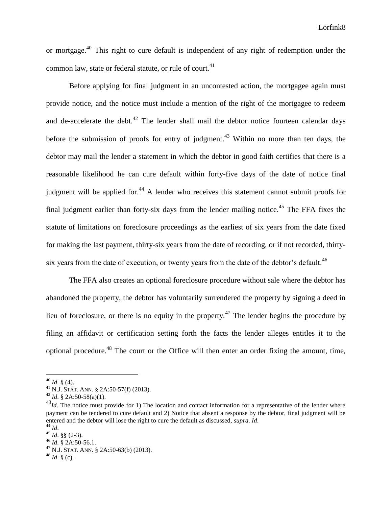or mortgage.<sup>40</sup> This right to cure default is independent of any right of redemption under the common law, state or federal statute, or rule of court.<sup>41</sup>

Before applying for final judgment in an uncontested action, the mortgagee again must provide notice, and the notice must include a mention of the right of the mortgagee to redeem and de-accelerate the debt. $42$  The lender shall mail the debtor notice fourteen calendar days before the submission of proofs for entry of judgment.<sup>43</sup> Within no more than ten days, the debtor may mail the lender a statement in which the debtor in good faith certifies that there is a reasonable likelihood he can cure default within forty-five days of the date of notice final judgment will be applied for.<sup>44</sup> A lender who receives this statement cannot submit proofs for final judgment earlier than forty-six days from the lender mailing notice.<sup>45</sup> The FFA fixes the statute of limitations on foreclosure proceedings as the earliest of six years from the date fixed for making the last payment, thirty-six years from the date of recording, or if not recorded, thirtysix years from the date of execution, or twenty years from the date of the debtor's default.<sup>46</sup>

The FFA also creates an optional foreclosure procedure without sale where the debtor has abandoned the property, the debtor has voluntarily surrendered the property by signing a deed in lieu of foreclosure, or there is no equity in the property.<sup>47</sup> The lender begins the procedure by filing an affidavit or certification setting forth the facts the lender alleges entitles it to the optional procedure.<sup>48</sup> The court or the Office will then enter an order fixing the amount, time,

 $^{40}$  *Id.* § (4).

<sup>&</sup>lt;sup>41</sup> N.J. STAT. ANN. § 2A:50-57(f) (2013).

<sup>42</sup> *Id*. § 2A:50-58(a)(1).

<sup>&</sup>lt;sup>43</sup>*Id*. The notice must provide for 1) The location and contact information for a representative of the lender where payment can be tendered to cure default and 2) Notice that absent a response by the debtor, final judgment will be entered and the debtor will lose the right to cure the default as discussed, *supra*. *Id*.

<sup>44</sup> *Id*.

<sup>45</sup> *Id*. §§ (2-3).

<sup>46</sup> *Id*. § 2A:50-56.1.

<sup>47</sup> N.J. STAT. ANN. § 2A:50-63(b) (2013).

<sup>48</sup> *Id*. § (c).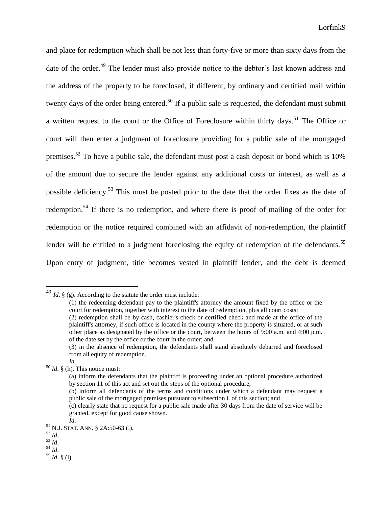and place for redemption which shall be not less than forty-five or more than sixty days from the date of the order.<sup>49</sup> The lender must also provide notice to the debtor's last known address and the address of the property to be foreclosed, if different, by ordinary and certified mail within twenty days of the order being entered.<sup>50</sup> If a public sale is requested, the defendant must submit a written request to the court or the Office of Foreclosure within thirty days.<sup>51</sup> The Office or court will then enter a judgment of foreclosure providing for a public sale of the mortgaged premises.<sup>52</sup> To have a public sale, the defendant must post a cash deposit or bond which is  $10\%$ of the amount due to secure the lender against any additional costs or interest, as well as a possible deficiency.<sup>53</sup> This must be posted prior to the date that the order fixes as the date of redemption.<sup>54</sup> If there is no redemption, and where there is proof of mailing of the order for redemption or the notice required combined with an affidavit of non-redemption, the plaintiff lender will be entitled to a judgment foreclosing the equity of redemption of the defendants.<sup>55</sup> Upon entry of judgment, title becomes vested in plaintiff lender, and the debt is deemed

 $^{49}$  *Id.* § (g). According to the statute the order must include:

<sup>(1)</sup> the redeeming defendant pay to the plaintiff's attorney the amount fixed by the office or the court for redemption, together with interest to the date of redemption, plus all court costs; (2) redemption shall be by cash, cashier's check or certified check and made at the office of the plaintiff's attorney, if such office is located in the county where the property is situated, or at such other place as designated by the office or the court, between the hours of 9:00 a.m. and 4:00 p.m. of the date set by the office or the court in the order; and

<sup>(3)</sup> in the absence of redemption, the defendants shall stand absolutely debarred and foreclosed from all equity of redemption.

*Id*. <sup>50</sup> *Id*. § (h). This notice must:

<sup>(</sup>a) inform the defendants that the plaintiff is proceeding under an optional procedure authorized by section 11 of this act and set out the steps of the optional procedure;

<sup>(</sup>b) inform all defendants of the terms and conditions under which a defendant may request a public sale of the mortgaged premises pursuant to subsection i. of this section; and

<sup>(</sup>c) clearly state that no request for a public sale made after 30 days from the date of service will be granted, except for good cause shown.

*Id*.

<sup>51</sup> N.J. STAT. ANN. § 2A:50-63 (i).

<sup>52</sup> *Id*.

 $\frac{53}{1}$  *Id.*  $^{54}$  *Id.* 

<sup>55</sup> *Id*. § (l).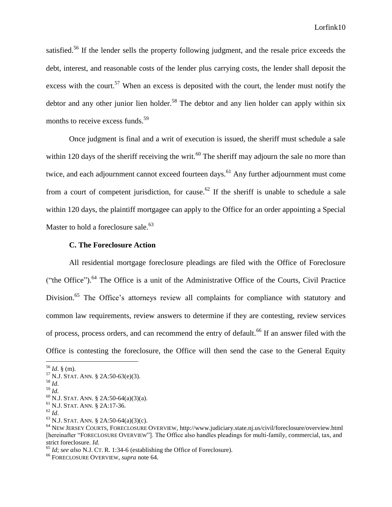satisfied.<sup>56</sup> If the lender sells the property following judgment, and the resale price exceeds the debt, interest, and reasonable costs of the lender plus carrying costs, the lender shall deposit the excess with the court.<sup>57</sup> When an excess is deposited with the court, the lender must notify the debtor and any other junior lien holder.<sup>58</sup> The debtor and any lien holder can apply within six months to receive excess funds.<sup>59</sup>

Once judgment is final and a writ of execution is issued, the sheriff must schedule a sale within 120 days of the sheriff receiving the writ.<sup>60</sup> The sheriff may adjourn the sale no more than twice, and each adjournment cannot exceed fourteen days.<sup>61</sup> Any further adjournment must come from a court of competent jurisdiction, for cause.<sup>62</sup> If the sheriff is unable to schedule a sale within 120 days, the plaintiff mortgagee can apply to the Office for an order appointing a Special Master to hold a foreclosure sale.<sup>63</sup>

#### **C. The Foreclosure Action**

All residential mortgage foreclosure pleadings are filed with the Office of Foreclosure ("the Office").<sup>64</sup> The Office is a unit of the Administrative Office of the Courts, Civil Practice Division.<sup>65</sup> The Office's attorneys review all complaints for compliance with statutory and common law requirements, review answers to determine if they are contesting, review services of process, process orders, and can recommend the entry of default.<sup>66</sup> If an answer filed with the Office is contesting the foreclosure, the Office will then send the case to the General Equity

 $\overline{a}$ 

<sup>62</sup> *Id*.

<sup>56</sup> *Id*. § (m).

<sup>57</sup> N.J. STAT. ANN. § 2A:50-63(e)(3).

<sup>58</sup> *Id*.

<sup>59</sup> *Id*.

 $^{60}$  N.J. STAT. ANN. § 2A:50-64(a)(3)(a).

<sup>61</sup> N.J. STAT. ANN. § 2A:17-36.

 $63$  N.J. STAT. ANN. § 2A:50-64(a)(3)(c).

<sup>64</sup> NEW JERSEY COURTS, FORECLOSURE OVERVIEW, http://www.judiciary.state.nj.us/civil/foreclosure/overview.html [hereinafter "FORECLOSURE OVERVIEW"]. The Office also handles pleadings for multi-family, commercial, tax, and strict foreclosure. *Id*.

<sup>65</sup> *Id*; *see also* N.J. CT. R. 1:34-6 (establishing the Office of Foreclosure).

<sup>66</sup> FORECLOSURE OVERVIEW, *supra* note 64.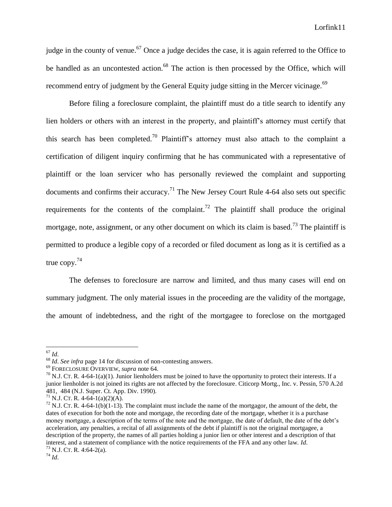judge in the county of venue.<sup>67</sup> Once a judge decides the case, it is again referred to the Office to be handled as an uncontested action.<sup>68</sup> The action is then processed by the Office, which will recommend entry of judgment by the General Equity judge sitting in the Mercer vicinage.<sup>69</sup>

Before filing a foreclosure complaint, the plaintiff must do a title search to identify any lien holders or others with an interest in the property, and plaintiff's attorney must certify that this search has been completed.<sup>70</sup> Plaintiff's attorney must also attach to the complaint a certification of diligent inquiry confirming that he has communicated with a representative of plaintiff or the loan servicer who has personally reviewed the complaint and supporting documents and confirms their accuracy.<sup>71</sup> The New Jersey Court Rule 4-64 also sets out specific requirements for the contents of the complaint.<sup>72</sup> The plaintiff shall produce the original mortgage, note, assignment, or any other document on which its claim is based.<sup>73</sup> The plaintiff is permitted to produce a legible copy of a recorded or filed document as long as it is certified as a true copy.<sup>74</sup>

The defenses to foreclosure are narrow and limited, and thus many cases will end on summary judgment. The only material issues in the proceeding are the validity of the mortgage, the amount of indebtedness, and the right of the mortgagee to foreclose on the mortgaged

<sup>67</sup> *Id*.

<sup>68</sup> *Id*. *See infra* page 14 for discussion of non-contesting answers.

<sup>69</sup> FORECLOSURE OVERVIEW, *supra* note 64.

<sup>&</sup>lt;sup>70</sup> N.J. CT. R. 4-64-1(a)(1). Junior lienholders must be joined to have the opportunity to protect their interests. If a junior lienholder is not joined its rights are not affected by the foreclosure. Citicorp Mortg., Inc. v. Pessin, 570 A.2d 481, 484 (N.J. Super. Ct. App. Div. 1990).

 $^{71}$  N.J. CT. R. 4-64-1(a)(2)(A).

<sup>&</sup>lt;sup>72</sup> N.J. CT. R. 4-64-1(b)(1-13). The complaint must include the name of the mortgagor, the amount of the debt, the dates of execution for both the note and mortgage, the recording date of the mortgage, whether it is a purchase money mortgage, a description of the terms of the note and the mortgage, the date of default, the date of the debt's acceleration, any penalties, a recital of all assignments of the debt if plaintiff is not the original mortgagee, a description of the property, the names of all parties holding a junior lien or other interest and a description of that interest, and a statement of compliance with the notice requirements of the FFA and any other law. *Id*. <sup>73</sup> N.J. CT. R. 4:64-2(a).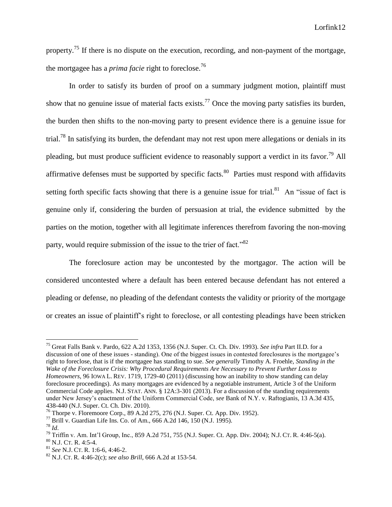property.<sup>75</sup> If there is no dispute on the execution, recording, and non-payment of the mortgage, the mortgagee has a *prima facie* right to foreclose.<sup>76</sup>

In order to satisfy its burden of proof on a summary judgment motion, plaintiff must show that no genuine issue of material facts exists.<sup>77</sup> Once the moving party satisfies its burden, the burden then shifts to the non-moving party to present evidence there is a genuine issue for trial.<sup>78</sup> In satisfying its burden, the defendant may not rest upon mere allegations or denials in its pleading, but must produce sufficient evidence to reasonably support a verdict in its favor.<sup>79</sup> All affirmative defenses must be supported by specific facts.<sup>80</sup> Parties must respond with affidavits setting forth specific facts showing that there is a genuine issue for trial.<sup>81</sup> An "issue of fact is genuine only if, considering the burden of persuasion at trial, the evidence submitted by the parties on the motion, together with all legitimate inferences therefrom favoring the non-moving party, would require submission of the issue to the trier of fact."<sup>82</sup>

The foreclosure action may be uncontested by the mortgagor. The action will be considered uncontested where a default has been entered because defendant has not entered a pleading or defense, no pleading of the defendant contests the validity or priority of the mortgage or creates an issue of plaintiff's right to foreclose, or all contesting pleadings have been stricken

<sup>78</sup> *Id*.

<sup>75</sup> Great Falls Bank v. Pardo, 622 A.2d 1353, 1356 (N.J. Super. Ct. Ch. Div. 1993). *See infra* Part II.D. for a discussion of one of these issues - standing). One of the biggest issues in contested foreclosures is the mortgagee's right to foreclose, that is if the mortgagee has standing to sue. *See generally* Timothy A. Froehle, *Standing in the Wake of the Foreclosure Crisis: Why Procedural Requirements Are Necessary to Prevent Further Loss to Homeowners*, 96 IOWA L. REV. 1719, 1729-40 (2011) (discussing how an inability to show standing can delay foreclosure proceedings). As many mortgages are evidenced by a negotiable instrument, Article 3 of the Uniform Commercial Code applies. N.J. STAT. ANN. § 12A:3-301 (2013). For a discussion of the standing requirements under New Jersey's enactment of the Uniform Commercial Code, *see* Bank of N.Y. v. Raftogianis*,* 13 A.3d 435, 438-440 (N.J. Super. Ct. Ch. Div. 2010).

<sup>76</sup> Thorpe v. Floremoore Corp., 89 A.2d 275, 276 (N.J. Super. Ct. App. Div. 1952).

 $^{77}$  Brill v. Guardian Life Ins. Co. of Am., 666 A.2d 146, 150 (N.J. 1995).

<sup>&</sup>lt;sup>79</sup> Triffin v. Am. Int'l Group, Inc., 859 A.2d 751, 755 (N.J. Super. Ct. App. Div. 2004); N.J. CT. R. 4:46-5(a).

 $80$  N.J. CT. R. 4:5-4.

<sup>81</sup> *See* N.J. CT. R. 1:6-6, 4:46-2.

<sup>82</sup> N.J. CT. R. 4:46-2(c); *see also Brill*, 666 A.2d at 153-54.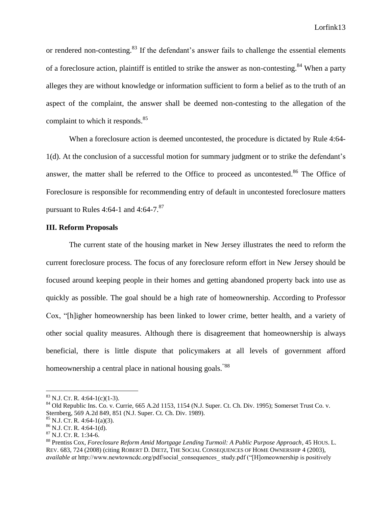or rendered non-contesting.<sup>83</sup> If the defendant's answer fails to challenge the essential elements of a foreclosure action, plaintiff is entitled to strike the answer as non-contesting.<sup>84</sup> When a party alleges they are without knowledge or information sufficient to form a belief as to the truth of an aspect of the complaint, the answer shall be deemed non-contesting to the allegation of the complaint to which it responds.<sup>85</sup>

When a foreclosure action is deemed uncontested, the procedure is dictated by Rule 4:64- 1(d). At the conclusion of a successful motion for summary judgment or to strike the defendant's answer, the matter shall be referred to the Office to proceed as uncontested.<sup>86</sup> The Office of Foreclosure is responsible for recommending entry of default in uncontested foreclosure matters pursuant to Rules 4:64-1 and 4:64-7. $87$ 

#### **III. Reform Proposals**

The current state of the housing market in New Jersey illustrates the need to reform the current foreclosure process. The focus of any foreclosure reform effort in New Jersey should be focused around keeping people in their homes and getting abandoned property back into use as quickly as possible. The goal should be a high rate of homeownership. According to Professor Cox, "[h]igher homeownership has been linked to lower crime, better health, and a variety of other social quality measures. Although there is disagreement that homeownership is always beneficial, there is little dispute that policymakers at all levels of government afford homeownership a central place in national housing goals.<sup>"88</sup>

 $83$  N.J. CT. R. 4:64-1(c)(1-3).

 $84$  Old Republic Ins. Co. v. Currie, 665 A.2d 1153, 1154 (N.J. Super. Ct. Ch. Div. 1995); Somerset Trust Co. v. Sternberg, 569 A.2d 849, 851 (N.J. Super. Ct. Ch. Div. 1989).

 $^{85}$  N.J. CT. R. 4:64-1(a)(3).

<sup>86</sup> N.J. CT. R. 4:64-1(d).

 $87$  N.J. CT. R. 1:34-6.

<sup>88</sup> Prentiss Cox, *Foreclosure Reform Amid Mortgage Lending Turmoil: A Public Purpose Approach*, 45 HOUS. L. REV. 683, 724 (2008) (citing ROBERT D. DIETZ, THE SOCIAL CONSEQUENCES OF HOME OWNERSHIP 4 (2003), *available at* http://www.newtowncdc.org/pdf/social\_consequences\_ study.pdf ("[H]omeownership is positively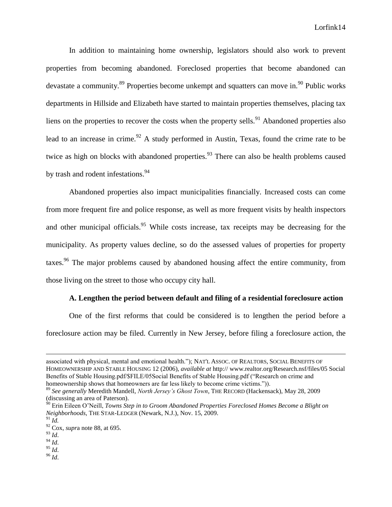In addition to maintaining home ownership, legislators should also work to prevent properties from becoming abandoned. Foreclosed properties that become abandoned can devastate a community.<sup>89</sup> Properties become unkempt and squatters can move in.<sup>90</sup> Public works departments in Hillside and Elizabeth have started to maintain properties themselves, placing tax liens on the properties to recover the costs when the property sells.<sup>91</sup> Abandoned properties also lead to an increase in crime.<sup>92</sup> A study performed in Austin, Texas, found the crime rate to be twice as high on blocks with abandoned properties.<sup>93</sup> There can also be health problems caused by trash and rodent infestations.<sup>94</sup>

Abandoned properties also impact municipalities financially. Increased costs can come from more frequent fire and police response, as well as more frequent visits by health inspectors and other municipal officials.<sup>95</sup> While costs increase, tax receipts may be decreasing for the municipality. As property values decline, so do the assessed values of properties for property taxes.<sup>96</sup> The major problems caused by abandoned housing affect the entire community, from those living on the street to those who occupy city hall.

#### **A. Lengthen the period between default and filing of a residential foreclosure action**

One of the first reforms that could be considered is to lengthen the period before a foreclosure action may be filed. Currently in New Jersey, before filing a foreclosure action, the

 $\overline{a}$ 

<sup>96</sup> *Id*.

associated with physical, mental and emotional health."); NAT'L ASSOC. OF REALTORS, SOCIAL BENEFITS OF HOMEOWNERSHIP AND STABLE HOUSING 12 (2006), *available at* http:// www.realtor.org/Research.nsf/files/05 Social Benefits of Stable Housing.pdf/\$FILE/05Social Benefits of Stable Housing.pdf ("Research on crime and homeownership shows that homeowners are far less likely to become crime victims.")).

<sup>89</sup> *See generally* Meredith Mandell, *North Jersey's Ghost Town*, THE RECORD (Hackensack), May 28, 2009 (discussing an area of Paterson).

<sup>90</sup> Erin Eileen O'Neill, *Towns Step in to Groom Abandoned Properties Foreclosed Homes Become a Blight on Neighborhoods*, THE STAR-LEDGER (Newark, N.J.), Nov. 15, 2009.

<sup>91</sup> *Id.*

<sup>92</sup> Cox, *supr*a note 88, at 695.

 $^{93}$  *Id.* 

<sup>94</sup> *Id*.  $^{95}$   $\overline{1}d$ .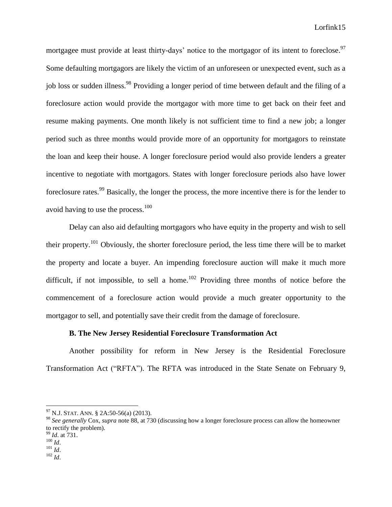mortgagee must provide at least thirty-days' notice to the mortgagor of its intent to foreclose.<sup>97</sup> Some defaulting mortgagors are likely the victim of an unforeseen or unexpected event, such as a job loss or sudden illness.<sup>98</sup> Providing a longer period of time between default and the filing of a foreclosure action would provide the mortgagor with more time to get back on their feet and resume making payments. One month likely is not sufficient time to find a new job; a longer period such as three months would provide more of an opportunity for mortgagors to reinstate the loan and keep their house. A longer foreclosure period would also provide lenders a greater incentive to negotiate with mortgagors. States with longer foreclosure periods also have lower foreclosure rates.<sup>99</sup> Basically, the longer the process, the more incentive there is for the lender to avoid having to use the process.<sup>100</sup>

Delay can also aid defaulting mortgagors who have equity in the property and wish to sell their property.<sup>101</sup> Obviously, the shorter foreclosure period, the less time there will be to market the property and locate a buyer. An impending foreclosure auction will make it much more difficult, if not impossible, to sell a home.<sup>102</sup> Providing three months of notice before the commencement of a foreclosure action would provide a much greater opportunity to the mortgagor to sell, and potentially save their credit from the damage of foreclosure.

#### **B. The New Jersey Residential Foreclosure Transformation Act**

Another possibility for reform in New Jersey is the Residential Foreclosure Transformation Act ("RFTA"). The RFTA was introduced in the State Senate on February 9,

 $^{97}$  N.J. Stat. Ann. § 2A:50-56(a) (2013).

<sup>98</sup> *See generally* Cox, *supra* note 88, at 730 (discussing how a longer foreclosure process can allow the homeowner to rectify the problem).

<sup>99</sup> *Id*. at 731.

<sup>100</sup> *Id*.

<sup>101</sup> *Id*.

<sup>102</sup> *Id*.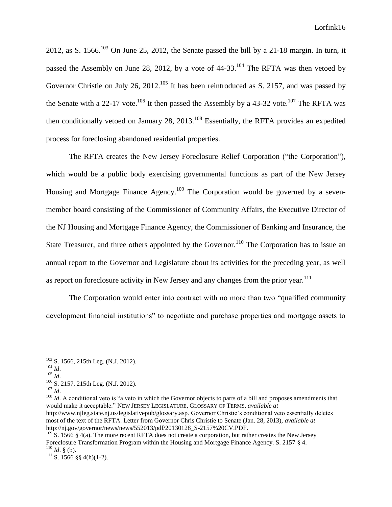2012, as S. 1566.<sup>103</sup> On June 25, 2012, the Senate passed the bill by a 21-18 margin. In turn, it passed the Assembly on June 28, 2012, by a vote of  $44-33$ .<sup>104</sup> The RFTA was then vetoed by Governor Christie on July 26, 2012.<sup>105</sup> It has been reintroduced as S. 2157, and was passed by the Senate with a 22-17 vote.<sup>106</sup> It then passed the Assembly by a 43-32 vote.<sup>107</sup> The RFTA was then conditionally vetoed on January  $28$ ,  $2013$ .<sup>108</sup> Essentially, the RFTA provides an expedited process for foreclosing abandoned residential properties.

The RFTA creates the New Jersey Foreclosure Relief Corporation ("the Corporation"), which would be a public body exercising governmental functions as part of the New Jersey Housing and Mortgage Finance Agency.<sup>109</sup> The Corporation would be governed by a sevenmember board consisting of the Commissioner of Community Affairs, the Executive Director of the NJ Housing and Mortgage Finance Agency, the Commissioner of Banking and Insurance, the State Treasurer, and three others appointed by the Governor.<sup>110</sup> The Corporation has to issue an annual report to the Governor and Legislature about its activities for the preceding year, as well as report on foreclosure activity in New Jersey and any changes from the prior year.<sup>111</sup>

The Corporation would enter into contract with no more than two "qualified community development financial institutions" to negotiate and purchase properties and mortgage assets to

 $103$  S. 1566, 215th Leg. (N.J. 2012).

<sup>104</sup> *Id*.

<sup>105</sup> *Id*.

<sup>106</sup> S. 2157, 215th Leg. (N.J. 2012).

<sup>107</sup> *Id*.

<sup>&</sup>lt;sup>108</sup> *Id*. A conditional veto is "a veto in which the Governor objects to parts of a bill and proposes amendments that would make it acceptable." NEW JERSEY LEGISLATURE, GLOSSARY OF TERMS, *available at*

http://www.njleg.state.nj.us/legislativepub/glossary.asp. Governor Christie's conditional veto essentially deletes most of the text of the RFTA. Letter from Governor Chris Christie to Senate (Jan. 28, 2013), *available at* http://nj.gov/governor/news/news/552013/pdf/20130128\_S-2157%20CV.PDF.

 $109$  S. 1566 § 4(a). The more recent RFTA does not create a corporation, but rather creates the New Jersey Foreclosure Transformation Program within the Housing and Mortgage Finance Agency. S. 2157 § 4.  $110$  *Id.* § (b).

 $111$  S. 1566 §§ 4(h)(1-2).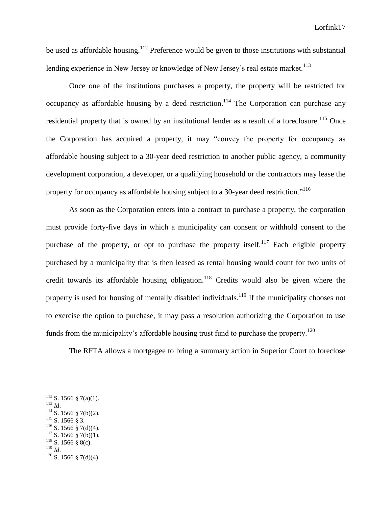be used as affordable housing.<sup>112</sup> Preference would be given to those institutions with substantial lending experience in New Jersey or knowledge of New Jersey's real estate market.<sup>113</sup>

Once one of the institutions purchases a property, the property will be restricted for occupancy as affordable housing by a deed restriction.<sup>114</sup> The Corporation can purchase any residential property that is owned by an institutional lender as a result of a foreclosure.<sup>115</sup> Once the Corporation has acquired a property, it may "convey the property for occupancy as affordable housing subject to a 30-year deed restriction to another public agency, a community development corporation, a developer, or a qualifying household or the contractors may lease the property for occupancy as affordable housing subject to a 30-year deed restriction.<sup>"116</sup>

As soon as the Corporation enters into a contract to purchase a property, the corporation must provide forty-five days in which a municipality can consent or withhold consent to the purchase of the property, or opt to purchase the property itself.<sup>117</sup> Each eligible property purchased by a municipality that is then leased as rental housing would count for two units of credit towards its affordable housing obligation.<sup>118</sup> Credits would also be given where the property is used for housing of mentally disabled individuals.<sup>119</sup> If the municipality chooses not to exercise the option to purchase, it may pass a resolution authorizing the Corporation to use funds from the municipality's affordable housing trust fund to purchase the property.<sup>120</sup>

The RFTA allows a mortgagee to bring a summary action in Superior Court to foreclose

<sup>113</sup> *Id*.

- $115$  S. 1566 § 3.
- $116$  S. 1566 § 7(d)(4).
- $117$  S. 1566 § 7(b)(1).  $118$  S. 1566 § 8(c).
- <sup>119</sup> *Id*.

 $112$  S. 1566 § 7(a)(1).

 $114$  S. 1566 § 7(b)(2).

 $120$  S. 1566 § 7(d)(4).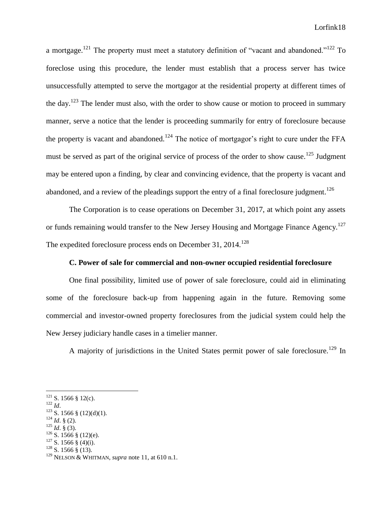a mortgage.<sup>121</sup> The property must meet a statutory definition of "vacant and abandoned."<sup>122</sup> To foreclose using this procedure, the lender must establish that a process server has twice unsuccessfully attempted to serve the mortgagor at the residential property at different times of the day.<sup>123</sup> The lender must also, with the order to show cause or motion to proceed in summary manner, serve a notice that the lender is proceeding summarily for entry of foreclosure because the property is vacant and abandoned.<sup>124</sup> The notice of mortgagor's right to cure under the FFA must be served as part of the original service of process of the order to show cause.<sup>125</sup> Judgment may be entered upon a finding, by clear and convincing evidence, that the property is vacant and abandoned, and a review of the pleadings support the entry of a final foreclosure judgment.<sup>126</sup>

The Corporation is to cease operations on December 31, 2017, at which point any assets or funds remaining would transfer to the New Jersey Housing and Mortgage Finance Agency.<sup>127</sup> The expedited foreclosure process ends on December 31,  $2014$ <sup>128</sup>

#### **C. Power of sale for commercial and non-owner occupied residential foreclosure**

One final possibility, limited use of power of sale foreclosure, could aid in eliminating some of the foreclosure back-up from happening again in the future. Removing some commercial and investor-owned property foreclosures from the judicial system could help the New Jersey judiciary handle cases in a timelier manner.

A majority of jurisdictions in the United States permit power of sale foreclosure.<sup>129</sup> In

 $\overline{a}$ 

- <sup>124</sup> *Id*. § (2).
- <sup>125</sup> *Id*. § (3).

 $128$  S. 1566 § (13).

 $121$  S. 1566 § 12(c).

<sup>122</sup> *Id*.

 $123$  S. 1566 § (12)(d)(1).

 $126$  S. 1566 § (12)(e).

 $127$  S. 1566 § (4)(i).

<sup>129</sup> NELSON & WHITMAN, *supra* note 11, at 610 n.1.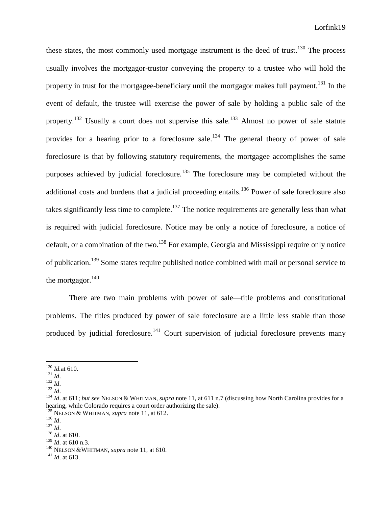these states, the most commonly used mortgage instrument is the deed of trust.<sup>130</sup> The process usually involves the mortgagor-trustor conveying the property to a trustee who will hold the property in trust for the mortgagee-beneficiary until the mortgagor makes full payment.<sup>131</sup> In the event of default, the trustee will exercise the power of sale by holding a public sale of the property.<sup>132</sup> Usually a court does not supervise this sale.<sup>133</sup> Almost no power of sale statute provides for a hearing prior to a foreclosure sale.<sup>134</sup> The general theory of power of sale foreclosure is that by following statutory requirements, the mortgagee accomplishes the same purposes achieved by judicial foreclosure.<sup>135</sup> The foreclosure may be completed without the additional costs and burdens that a judicial proceeding entails.<sup>136</sup> Power of sale foreclosure also takes significantly less time to complete.<sup>137</sup> The notice requirements are generally less than what is required with judicial foreclosure. Notice may be only a notice of foreclosure, a notice of default, or a combination of the two.<sup>138</sup> For example, Georgia and Mississippi require only notice of publication.<sup>139</sup> Some states require published notice combined with mail or personal service to the mortgagor. $140$ 

There are two main problems with power of sale—title problems and constitutional problems. The titles produced by power of sale foreclosure are a little less stable than those produced by judicial foreclosure.<sup>141</sup> Court supervision of judicial foreclosure prevents many

- <sup>132</sup> *Id*.
- <sup>133</sup> *Id*.

<sup>130</sup> *Id.*at 610.

<sup>131</sup> *Id*.

<sup>134</sup> *Id*. at 611; *but see* NELSON & WHITMAN, *supra* note 11, at 611 n.7 (discussing how North Carolina provides for a hearing, while Colorado requires a court order authorizing the sale).

<sup>135</sup> NELSON & WHITMAN, *supra* note 11, at 612.

<sup>136</sup> *Id*.

<sup>137</sup> *Id*.

<sup>138</sup> *Id*. at 610.

<sup>139</sup> *Id*. at 610 n.3.

<sup>140</sup> NELSON &WHITMAN, *supra* note 11, at 610.

<sup>141</sup> *Id*. at 613.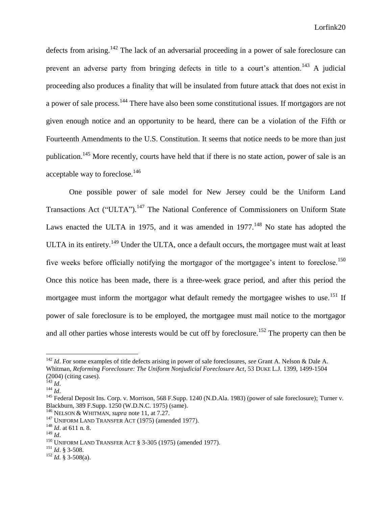defects from arising.<sup>142</sup> The lack of an adversarial proceeding in a power of sale foreclosure can prevent an adverse party from bringing defects in title to a court's attention.<sup>143</sup> A judicial proceeding also produces a finality that will be insulated from future attack that does not exist in a power of sale process.<sup>144</sup> There have also been some constitutional issues. If mortgagors are not given enough notice and an opportunity to be heard, there can be a violation of the Fifth or Fourteenth Amendments to the U.S. Constitution. It seems that notice needs to be more than just publication.<sup>145</sup> More recently, courts have held that if there is no state action, power of sale is an acceptable way to foreclose.<sup>146</sup>

One possible power of sale model for New Jersey could be the Uniform Land Transactions Act ("ULTA").<sup>147</sup> The National Conference of Commissioners on Uniform State Laws enacted the ULTA in 1975, and it was amended in  $1977$ .<sup>148</sup> No state has adopted the ULTA in its entirety.<sup>149</sup> Under the ULTA, once a default occurs, the mortgagee must wait at least five weeks before officially notifying the mortgagor of the mortgagee's intent to foreclose.<sup>150</sup> Once this notice has been made, there is a three-week grace period, and after this period the mortgagee must inform the mortgagor what default remedy the mortgagee wishes to use.<sup>151</sup> If power of sale foreclosure is to be employed, the mortgagee must mail notice to the mortgagor and all other parties whose interests would be cut off by foreclosure.<sup>152</sup> The property can then be

 $\overline{a}$ 

<sup>151</sup> *Id*. § 3-508.

<sup>142</sup> *Id*. For some examples of title defects arising in power of sale foreclosures, *see* Grant A. Nelson & Dale A. Whitman, *Reforming Foreclosure: The Uniform Nonjudicial Foreclosure Act*, 53 DUKE L.J. 1399, 1499-1504 (2004) (citing cases).

<sup>143</sup> *Id*.

<sup>144</sup> *Id*.

<sup>&</sup>lt;sup>145</sup> Federal Deposit Ins. Corp. v. Morrison, 568 F.Supp. 1240 (N.D.Ala. 1983) (power of sale foreclosure); Turner v. Blackburn, 389 F.Supp. 1250 (W.D.N.C. 1975) (same).

<sup>146</sup> NELSON & WHITMAN, *supra* note 11, at 7.27.

<sup>&</sup>lt;sup>147</sup> UNIFORM LAND TRANSFER ACT (1975) (amended 1977).

<sup>148</sup> *Id*. at 611 n. 8.

<sup>149</sup> *Id*.

 $150$  UNIFORM LAND TRANSFER ACT § 3-305 (1975) (amended 1977).

 $^{152}$  *Id.* § 3-508(a).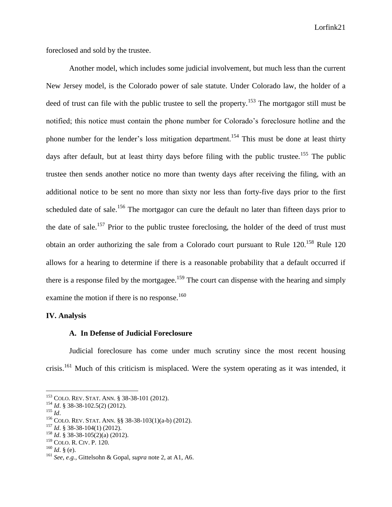foreclosed and sold by the trustee.

Another model, which includes some judicial involvement, but much less than the current New Jersey model, is the Colorado power of sale statute. Under Colorado law, the holder of a deed of trust can file with the public trustee to sell the property.<sup>153</sup> The mortgagor still must be notified; this notice must contain the phone number for Colorado's foreclosure hotline and the phone number for the lender's loss mitigation department.<sup>154</sup> This must be done at least thirty days after default, but at least thirty days before filing with the public trustee.<sup>155</sup> The public trustee then sends another notice no more than twenty days after receiving the filing, with an additional notice to be sent no more than sixty nor less than forty-five days prior to the first scheduled date of sale.<sup>156</sup> The mortgagor can cure the default no later than fifteen days prior to the date of sale.<sup>157</sup> Prior to the public trustee foreclosing, the holder of the deed of trust must obtain an order authorizing the sale from a Colorado court pursuant to Rule  $120^{158}$  Rule  $120$ allows for a hearing to determine if there is a reasonable probability that a default occurred if there is a response filed by the mortgagee.<sup>159</sup> The court can dispense with the hearing and simply examine the motion if there is no response.<sup>160</sup>

#### **IV. Analysis**

#### **A. In Defense of Judicial Foreclosure**

Judicial foreclosure has come under much scrutiny since the most recent housing crisis.<sup>161</sup> Much of this criticism is misplaced. Were the system operating as it was intended, it

<sup>153</sup> COLO. REV. STAT. ANN. § 38-38-101 (2012).

<sup>154</sup> *Id*. § 38-38-102.5(2) (2012).

<sup>155</sup> *Id*.

<sup>156</sup> COLO. REV. STAT. ANN. §§ 38-38-103(1)(a-b) (2012).

<sup>157</sup> *Id*. § 38-38-104(1) (2012).

<sup>158</sup> *Id*. § 38-38-105(2)(a) (2012).

<sup>159</sup> COLO. R. CIV. P. 120.

 $^{160}$  *Id.* § (e).

<sup>161</sup> *See, e.g.*, Gittelsohn & Gopal, *supra* note 2, at A1, A6.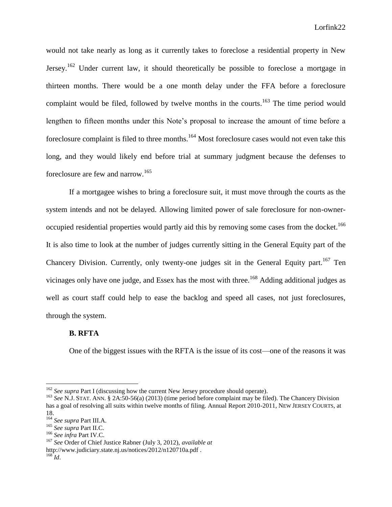would not take nearly as long as it currently takes to foreclose a residential property in New Jersey.<sup>162</sup> Under current law, it should theoretically be possible to foreclose a mortgage in thirteen months. There would be a one month delay under the FFA before a foreclosure complaint would be filed, followed by twelve months in the courts.<sup>163</sup> The time period would lengthen to fifteen months under this Note's proposal to increase the amount of time before a foreclosure complaint is filed to three months.<sup>164</sup> Most foreclosure cases would not even take this long, and they would likely end before trial at summary judgment because the defenses to foreclosure are few and narrow.<sup>165</sup>

If a mortgagee wishes to bring a foreclosure suit, it must move through the courts as the system intends and not be delayed. Allowing limited power of sale foreclosure for non-owneroccupied residential properties would partly aid this by removing some cases from the docket.<sup>166</sup> It is also time to look at the number of judges currently sitting in the General Equity part of the Chancery Division. Currently, only twenty-one judges sit in the General Equity part.<sup>167</sup> Ten vicinages only have one judge, and Essex has the most with three.<sup>168</sup> Adding additional judges as well as court staff could help to ease the backlog and speed all cases, not just foreclosures, through the system.

#### **B. RFTA**

One of the biggest issues with the RFTA is the issue of its cost—one of the reasons it was

<sup>162</sup> *See supra* Part I (discussing how the current New Jersey procedure should operate).

<sup>&</sup>lt;sup>163</sup> *See* N.J. STAT. ANN. § 2A:50-56(a) (2013) (time period before complaint may be filed). The Chancery Division has a goal of resolving all suits within twelve months of filing. Annual Report 2010-2011, NEW JERSEY COURTS, at 18.

<sup>164</sup> *See supra* Part III.A.

<sup>165</sup> *See supra* Part II.C.

<sup>166</sup> *See infra* Part IV.C.

<sup>167</sup> *See* Order of Chief Justice Rabner (July 3, 2012), *available at*

http://www.judiciary.state.nj.us/notices/2012/n120710a.pdf.

 $^{168}$ *Id.*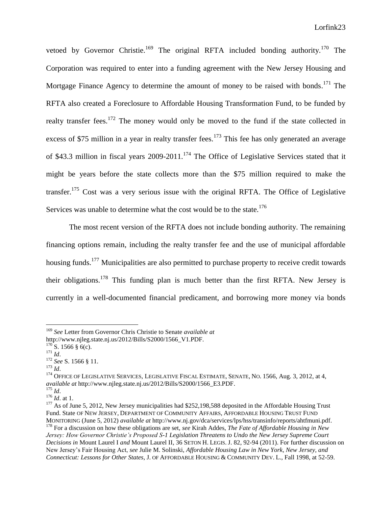vetoed by Governor Christie.<sup>169</sup> The original RFTA included bonding authority.<sup>170</sup> The Corporation was required to enter into a funding agreement with the New Jersey Housing and Mortgage Finance Agency to determine the amount of money to be raised with bonds.<sup>171</sup> The RFTA also created a Foreclosure to Affordable Housing Transformation Fund, to be funded by realty transfer fees.<sup>172</sup> The money would only be moved to the fund if the state collected in excess of \$75 million in a year in realty transfer fees.<sup>173</sup> This fee has only generated an average of \$43.3 million in fiscal years 2009-2011.<sup>174</sup> The Office of Legislative Services stated that it might be years before the state collects more than the \$75 million required to make the transfer.<sup>175</sup> Cost was a very serious issue with the original RFTA. The Office of Legislative Services was unable to determine what the cost would be to the state.<sup>176</sup>

The most recent version of the RFTA does not include bonding authority. The remaining financing options remain, including the realty transfer fee and the use of municipal affordable housing funds.<sup>177</sup> Municipalities are also permitted to purchase property to receive credit towards their obligations.<sup>178</sup> This funding plan is much better than the first RFTA. New Jersey is currently in a well-documented financial predicament, and borrowing more money via bonds

 $\overline{a}$ 

<sup>173</sup> *Id*.

<sup>169</sup> *See* Letter from Governor Chris Christie to Senate *available at*

http://www.njleg.state.nj.us/2012/Bills/S2000/1566\_V1.PDF.

 $170$  S. 1566 § 6(c).

<sup>171</sup> *Id*.

<sup>172</sup> *See* S. 1566 § 11.

<sup>&</sup>lt;sup>174</sup> OFFICE OF LEGISLATIVE SERVICES, LEGISLATIVE FISCAL ESTIMATE, SENATE, NO. 1566, Aug. 3, 2012, at 4, *available at* http://www.njleg.state.nj.us/2012/Bills/S2000/1566\_E3.PDF.

<sup>175</sup> *Id*.

 $^{176}$  *Id.* at 1.

<sup>&</sup>lt;sup>177</sup> As of June 5, 2012, New Jersey municipalities had \$252,198,588 deposited in the Affordable Housing Trust Fund. State OF NEW JERSEY, DEPARTMENT OF COMMUNITY AFFAIRS, AFFORDABLE HOUSING TRUST FUND MONITORING (June 5, 2012) *available at* http://www.nj.gov/dca/services/lps/hss/transinfo/reports/ahtfmuni.pdf. <sup>178</sup> For a discussion on how these obligations are set, *see* Kirah Addes, *The Fate of Affordable Housing in New Jersey: How Governor Christie's Proposed S-1 Legislation Threatens to Undo the New Jersey Supreme Court Decisions in* Mount Laurel I *and* Mount Laurel II, 36 SETON H. LEGIS. J. 82, 92-94 (2011). For further discussion on New Jersey's Fair Housing Act, *see* Julie M. Solinski, *Affordable Housing Law in New York, New Jersey, and* 

*Connecticut: Lessons for Other States*, J. OF AFFORDABLE HOUSING & COMMUNITY DEV. L., Fall 1998, at 52-59.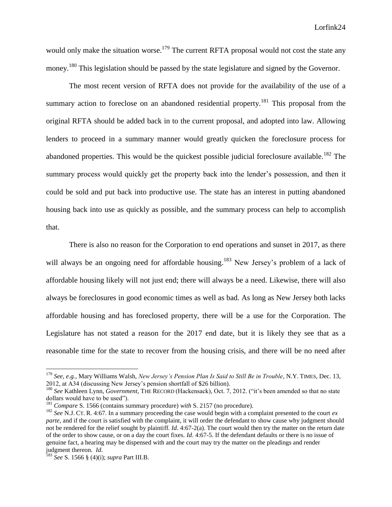would only make the situation worse.<sup>179</sup> The current RFTA proposal would not cost the state any money.<sup>180</sup> This legislation should be passed by the state legislature and signed by the Governor.

The most recent version of RFTA does not provide for the availability of the use of a summary action to foreclose on an abandoned residential property.<sup>181</sup> This proposal from the original RFTA should be added back in to the current proposal, and adopted into law. Allowing lenders to proceed in a summary manner would greatly quicken the foreclosure process for abandoned properties. This would be the quickest possible judicial foreclosure available.<sup>182</sup> The summary process would quickly get the property back into the lender's possession, and then it could be sold and put back into productive use. The state has an interest in putting abandoned housing back into use as quickly as possible, and the summary process can help to accomplish that.

There is also no reason for the Corporation to end operations and sunset in 2017, as there will always be an ongoing need for affordable housing.<sup>183</sup> New Jersey's problem of a lack of affordable housing likely will not just end; there will always be a need. Likewise, there will also always be foreclosures in good economic times as well as bad. As long as New Jersey both lacks affordable housing and has foreclosed property, there will be a use for the Corporation. The Legislature has not stated a reason for the 2017 end date, but it is likely they see that as a reasonable time for the state to recover from the housing crisis, and there will be no need after

<sup>179</sup> *See, e.g.*, Mary Williams Walsh, *New Jersey's Pension Plan Is Said to Still Be in Trouble*, N.Y. TIMES, Dec. 13, 2012, at A34 (discussing New Jersey's pension shortfall of \$26 billion).

<sup>&</sup>lt;sup>180</sup> See Kathleen Lynn, *Government*, THE RECORD (Hackensack), Oct. 7, 2012. ("it's been amended so that no state dollars would have to be used").

<sup>181</sup> *Compare* S. 1566 (contains summary procedure) *with* S. 2157 (no procedure).

<sup>182</sup> *See* N.J. CT. R. 4:67. In a summary proceeding the case would begin with a complaint presented to the court *ex parte*, and if the court is satisfied with the complaint, it will order the defendant to show cause why judgment should not be rendered for the relief sought by plaintiff*. Id*. 4:67-2(a). The court would then try the matter on the return date of the order to show cause, or on a day the court fixes. *Id*. 4:67-5. If the defendant defaults or there is no issue of genuine fact, a hearing may be dispensed with and the court may try the matter on the pleadings and render judgment thereon. *Id*.

<sup>183</sup> *See* S. 1566 § (4)(i); *supra* Part III.B.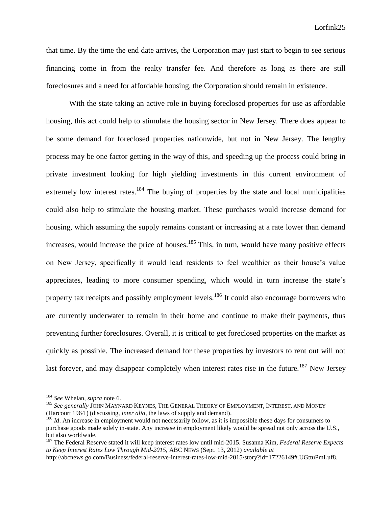that time. By the time the end date arrives, the Corporation may just start to begin to see serious financing come in from the realty transfer fee. And therefore as long as there are still foreclosures and a need for affordable housing, the Corporation should remain in existence.

With the state taking an active role in buying foreclosed properties for use as affordable housing, this act could help to stimulate the housing sector in New Jersey. There does appear to be some demand for foreclosed properties nationwide, but not in New Jersey. The lengthy process may be one factor getting in the way of this, and speeding up the process could bring in private investment looking for high yielding investments in this current environment of extremely low interest rates.<sup>184</sup> The buying of properties by the state and local municipalities could also help to stimulate the housing market. These purchases would increase demand for housing, which assuming the supply remains constant or increasing at a rate lower than demand increases, would increase the price of houses. $185$  This, in turn, would have many positive effects on New Jersey, specifically it would lead residents to feel wealthier as their house's value appreciates, leading to more consumer spending, which would in turn increase the state's property tax receipts and possibly employment levels.<sup>186</sup> It could also encourage borrowers who are currently underwater to remain in their home and continue to make their payments, thus preventing further foreclosures. Overall, it is critical to get foreclosed properties on the market as quickly as possible. The increased demand for these properties by investors to rent out will not last forever, and may disappear completely when interest rates rise in the future.<sup>187</sup> New Jersey

<sup>184</sup> *See* Whelan*, supra* note 6.

<sup>&</sup>lt;sup>185</sup> See generally JOHN MAYNARD KEYNES, THE GENERAL THEORY OF EMPLOYMENT, INTEREST, AND MONEY (Harcourt 1964 ) (discussing, *inter alia*, the laws of supply and demand).

<sup>&</sup>lt;sup>186</sup> *Id*. An increase in employment would not necessarily follow, as it is impossible these days for consumers to purchase goods made solely in-state. Any increase in employment likely would be spread not only across the U.S., but also worldwide.

<sup>187</sup> The Federal Reserve stated it will keep interest rates low until mid-2015. Susanna Kim, *Federal Reserve Expects to Keep Interest Rates Low Through Mid-2015*, ABC NEWS (Sept. 13, 2012) *available at* 

http://abcnews.go.com/Business/federal-reserve-interest-rates-low-mid-2015/story?id=17226149#.UGttuPmLuf8.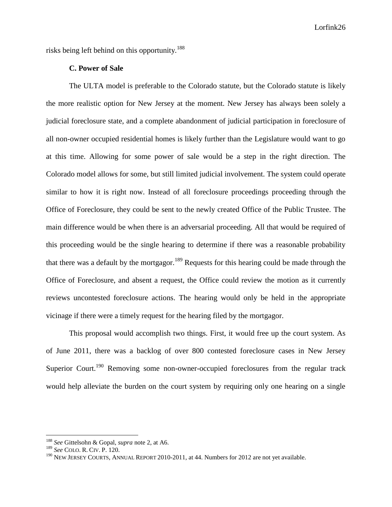risks being left behind on this opportunity.<sup>188</sup>

#### **C. Power of Sale**

The ULTA model is preferable to the Colorado statute, but the Colorado statute is likely the more realistic option for New Jersey at the moment. New Jersey has always been solely a judicial foreclosure state, and a complete abandonment of judicial participation in foreclosure of all non-owner occupied residential homes is likely further than the Legislature would want to go at this time. Allowing for some power of sale would be a step in the right direction. The Colorado model allows for some, but still limited judicial involvement. The system could operate similar to how it is right now. Instead of all foreclosure proceedings proceeding through the Office of Foreclosure, they could be sent to the newly created Office of the Public Trustee. The main difference would be when there is an adversarial proceeding. All that would be required of this proceeding would be the single hearing to determine if there was a reasonable probability that there was a default by the mortgagor.<sup>189</sup> Requests for this hearing could be made through the Office of Foreclosure, and absent a request, the Office could review the motion as it currently reviews uncontested foreclosure actions. The hearing would only be held in the appropriate vicinage if there were a timely request for the hearing filed by the mortgagor.

This proposal would accomplish two things. First, it would free up the court system. As of June 2011, there was a backlog of over 800 contested foreclosure cases in New Jersey Superior Court.<sup>190</sup> Removing some non-owner-occupied foreclosures from the regular track would help alleviate the burden on the court system by requiring only one hearing on a single

<sup>188</sup> *See* Gittelsohn & Gopal, *supra* note 2, at A6.

<sup>189</sup> *See* COLO. R. CIV. P. 120.

<sup>&</sup>lt;sup>190</sup> NEW JERSEY COURTS, ANNUAL REPORT 2010-2011, at 44. Numbers for 2012 are not yet available.